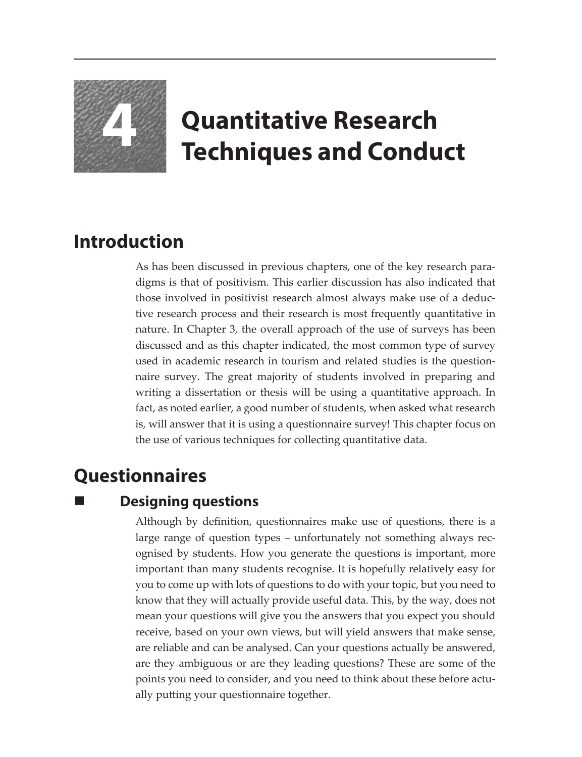

# **4 Quantitative Research Techniques and Conduct**

### **Introduction**

As has been discussed in previous chapters, one of the key research paradigms is that of positivism. This earlier discussion has also indicated that those involved in positivist research almost always make use of a deductive research process and their research is most frequently quantitative in nature. In Chapter 3, the overall approach of the use of surveys has been discussed and as this chapter indicated, the most common type of survey used in academic research in tourism and related studies is the questionnaire survey. The great majority of students involved in preparing and writing a dissertation or thesis will be using a quantitative approach. In fact, as noted earlier, a good number of students, when asked what research is, will answer that it is using a questionnaire survey! This chapter focus on the use of various techniques for collecting quantitative data.

## **Questionnaires**

#### **Designing questions**

Although by definition, questionnaires make use of questions, there is a large range of question types – unfortunately not something always recognised by students. How you generate the questions is important, more important than many students recognise. It is hopefully relatively easy for you to come up with lots of questions to do with your topic, but you need to know that they will actually provide useful data. This, by the way, does not mean your questions will give you the answers that you expect you should receive, based on your own views, but will yield answers that make sense, are reliable and can be analysed. Can your questions actually be answered, are they ambiguous or are they leading questions? These are some of the points you need to consider, and you need to think about these before actually putting your questionnaire together.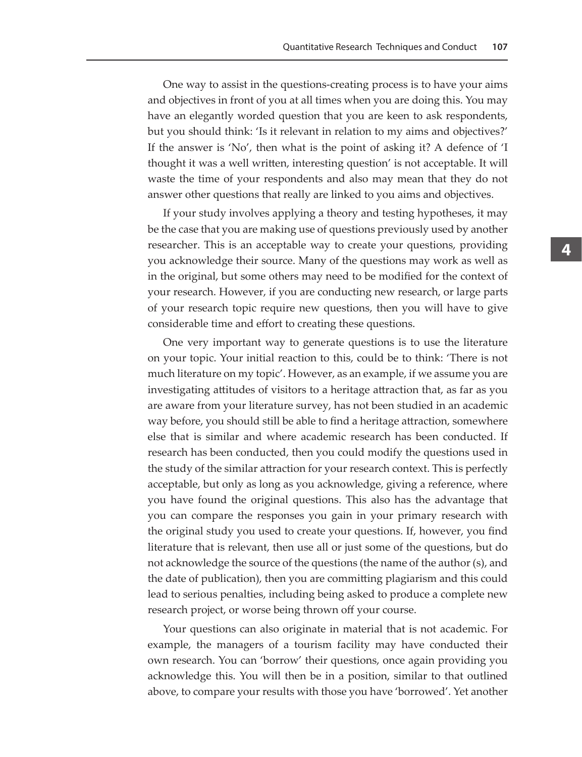One way to assist in the questions-creating process is to have your aims and objectives in front of you at all times when you are doing this. You may have an elegantly worded question that you are keen to ask respondents, but you should think: 'Is it relevant in relation to my aims and objectives?' If the answer is 'No', then what is the point of asking it? A defence of 'I thought it was a well written, interesting question' is not acceptable. It will waste the time of your respondents and also may mean that they do not answer other questions that really are linked to you aims and objectives.

If your study involves applying a theory and testing hypotheses, it may be the case that you are making use of questions previously used by another researcher. This is an acceptable way to create your questions, providing you acknowledge their source. Many of the questions may work as well as in the original, but some others may need to be modified for the context of your research. However, if you are conducting new research, or large parts of your research topic require new questions, then you will have to give considerable time and effort to creating these questions.

One very important way to generate questions is to use the literature on your topic. Your initial reaction to this, could be to think: 'There is not much literature on my topic'. However, as an example, if we assume you are investigating attitudes of visitors to a heritage attraction that, as far as you are aware from your literature survey, has not been studied in an academic way before, you should still be able to find a heritage attraction, somewhere else that is similar and where academic research has been conducted. If research has been conducted, then you could modify the questions used in the study of the similar attraction for your research context. This is perfectly acceptable, but only as long as you acknowledge, giving a reference, where you have found the original questions. This also has the advantage that you can compare the responses you gain in your primary research with the original study you used to create your questions. If, however, you find literature that is relevant, then use all or just some of the questions, but do not acknowledge the source of the questions (the name of the author (s), and the date of publication), then you are committing plagiarism and this could lead to serious penalties, including being asked to produce a complete new research project, or worse being thrown off your course.

Your questions can also originate in material that is not academic. For example, the managers of a tourism facility may have conducted their own research. You can 'borrow' their questions, once again providing you acknowledge this. You will then be in a position, similar to that outlined above, to compare your results with those you have 'borrowed'. Yet another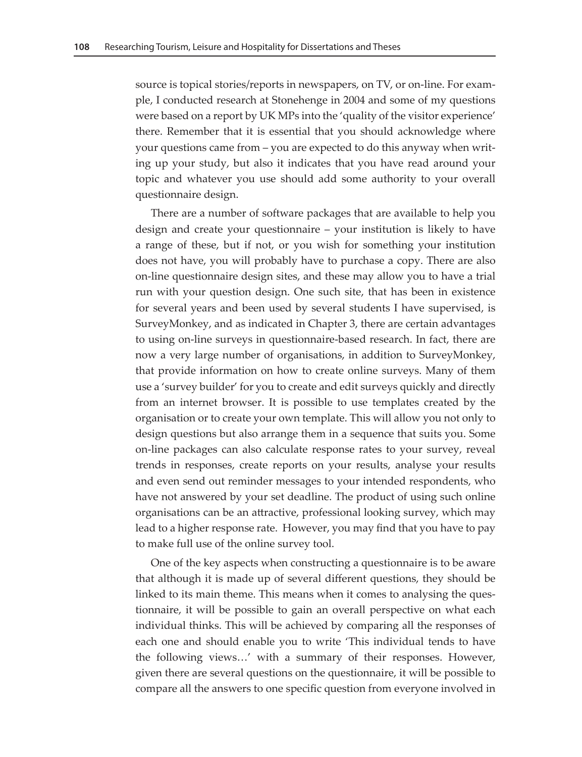source is topical stories/reports in newspapers, on TV, or on-line. For example, I conducted research at Stonehenge in 2004 and some of my questions were based on a report by UK MPs into the 'quality of the visitor experience' there. Remember that it is essential that you should acknowledge where your questions came from – you are expected to do this anyway when writing up your study, but also it indicates that you have read around your topic and whatever you use should add some authority to your overall questionnaire design.

There are a number of software packages that are available to help you design and create your questionnaire – your institution is likely to have a range of these, but if not, or you wish for something your institution does not have, you will probably have to purchase a copy. There are also on-line questionnaire design sites, and these may allow you to have a trial run with your question design. One such site, that has been in existence for several years and been used by several students I have supervised, is SurveyMonkey, and as indicated in Chapter 3, there are certain advantages to using on-line surveys in questionnaire-based research. In fact, there are now a very large number of organisations, in addition to SurveyMonkey, that provide information on how to create online surveys. Many of them use a 'survey builder' for you to create and edit surveys quickly and directly from an internet browser. It is possible to use templates created by the organisation or to create your own template. This will allow you not only to design questions but also arrange them in a sequence that suits you. Some on-line packages can also calculate response rates to your survey, reveal trends in responses, create reports on your results, analyse your results and even send out reminder messages to your intended respondents, who have not answered by your set deadline. The product of using such online organisations can be an attractive, professional looking survey, which may lead to a higher response rate. However, you may find that you have to pay to make full use of the online survey tool.

One of the key aspects when constructing a questionnaire is to be aware that although it is made up of several different questions, they should be linked to its main theme. This means when it comes to analysing the questionnaire, it will be possible to gain an overall perspective on what each individual thinks. This will be achieved by comparing all the responses of each one and should enable you to write 'This individual tends to have the following views…' with a summary of their responses. However, given there are several questions on the questionnaire, it will be possible to compare all the answers to one specific question from everyone involved in